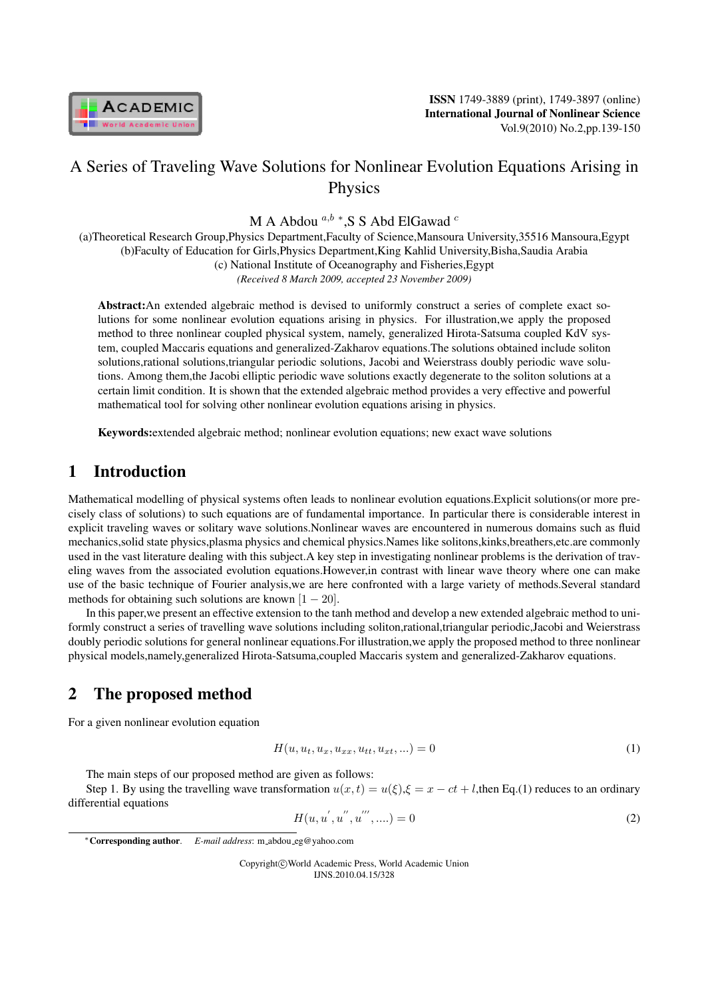

# A Series of Traveling Wave Solutions for Nonlinear Evolution Equations Arising in Physics

M A Abdou <sup>*a,b*</sup> \*,S S Abd ElGawad <sup>*c*</sup>

(a)Theoretical Research Group,Physics Department,Faculty of Science,Mansoura University,35516 Mansoura,Egypt (b)Faculty of Education for Girls,Physics Department,King Kahlid University,Bisha,Saudia Arabia (c) National Institute of Oceanography and Fisheries,Egypt *(Received 8 March 2009, accepted 23 November 2009)*

Abstract:An extended algebraic method is devised to uniformly construct a series of complete exact solutions for some nonlinear evolution equations arising in physics. For illustration,we apply the proposed method to three nonlinear coupled physical system, namely, generalized Hirota-Satsuma coupled KdV system, coupled Maccaris equations and generalized-Zakharov equations.The solutions obtained include soliton solutions,rational solutions,triangular periodic solutions, Jacobi and Weierstrass doubly periodic wave solutions. Among them,the Jacobi elliptic periodic wave solutions exactly degenerate to the soliton solutions at a certain limit condition. It is shown that the extended algebraic method provides a very effective and powerful mathematical tool for solving other nonlinear evolution equations arising in physics.

Keywords:extended algebraic method; nonlinear evolution equations; new exact wave solutions

## 1 Introduction

Mathematical modelling of physical systems often leads to nonlinear evolution equations.Explicit solutions(or more precisely class of solutions) to such equations are of fundamental importance. In particular there is considerable interest in explicit traveling waves or solitary wave solutions.Nonlinear waves are encountered in numerous domains such as fluid mechanics,solid state physics,plasma physics and chemical physics.Names like solitons,kinks,breathers,etc.are commonly used in the vast literature dealing with this subject.A key step in investigating nonlinear problems is the derivation of traveling waves from the associated evolution equations.However,in contrast with linear wave theory where one can make use of the basic technique of Fourier analysis,we are here confronted with a large variety of methods.Several standard methods for obtaining such solutions are known [1 *−* 20].

In this paper,we present an effective extension to the tanh method and develop a new extended algebraic method to uniformly construct a series of travelling wave solutions including soliton,rational,triangular periodic,Jacobi and Weierstrass doubly periodic solutions for general nonlinear equations.For illustration,we apply the proposed method to three nonlinear physical models,namely,generalized Hirota-Satsuma,coupled Maccaris system and generalized-Zakharov equations.

## 2 The proposed method

For a given nonlinear evolution equation

$$
H(u, u_t, u_x, u_{xx}, u_{tt}, u_{xt}, \ldots) = 0
$$
\n(1)

The main steps of our proposed method are given as follows:

Step 1. By using the travelling wave transformation  $u(x, t) = u(\xi), \xi = x - ct + l$ , then Eq.(1) reduces to an ordinary differential equations

$$
H(u, u', u'', u''', \ldots) = 0
$$
\n(2)

Copyright*⃝*c World Academic Press, World Academic Union IJNS.2010.04.15/328

*<sup>∗</sup>*Corresponding author. *E-mail address*: m abdou eg@yahoo.com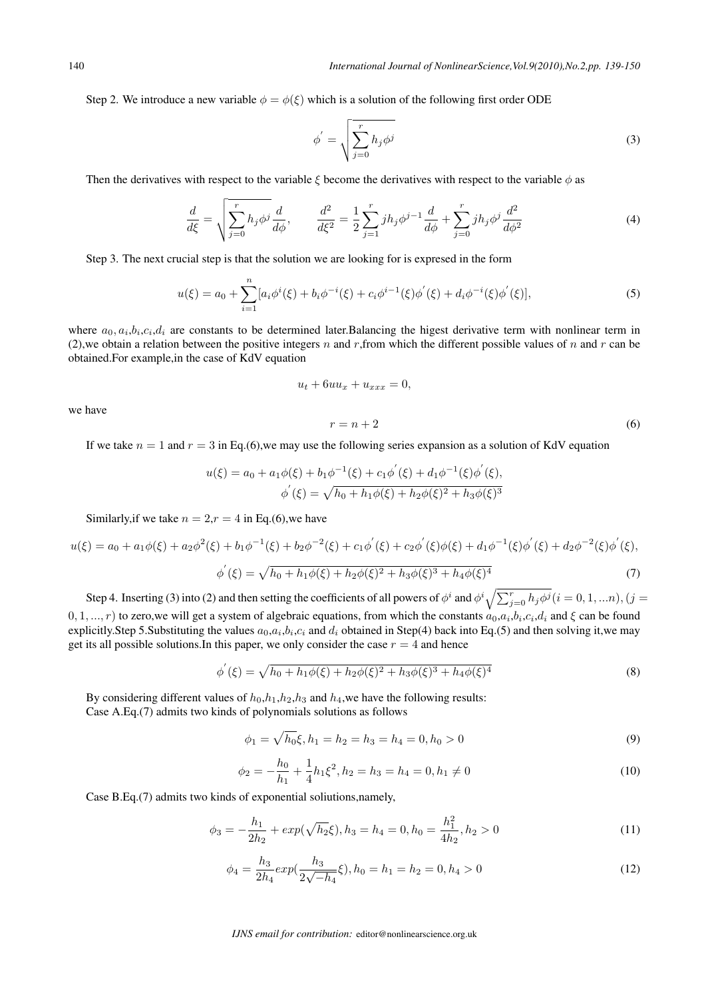Step 2. We introduce a new variable  $\phi = \phi(\xi)$  which is a solution of the following first order ODE

$$
\phi' = \sqrt{\sum_{j=0}^{r} h_j \phi^j}
$$
 (3)

Then the derivatives with respect to the variable  $\xi$  become the derivatives with respect to the variable  $\phi$  as

$$
\frac{d}{d\xi} = \sqrt{\sum_{j=0}^{r} h_j \phi^j} \frac{d}{d\phi}, \qquad \frac{d^2}{d\xi^2} = \frac{1}{2} \sum_{j=1}^{r} j h_j \phi^{j-1} \frac{d}{d\phi} + \sum_{j=0}^{r} j h_j \phi^j \frac{d^2}{d\phi^2}
$$
(4)

Step 3. The next crucial step is that the solution we are looking for is expresed in the form

$$
u(\xi) = a_0 + \sum_{i=1}^n [a_i \phi^i(\xi) + b_i \phi^{-i}(\xi) + c_i \phi^{i-1}(\xi) \phi'(\xi) + d_i \phi^{-i}(\xi) \phi'(\xi)],
$$
\n(5)

where  $a_0, a_i, b_i, c_i, d_i$  are constants to be determined later. Balancing the higest derivative term with nonlinear term in (2), we obtain a relation between the positive integers  $n$  and  $r$ , from which the different possible values of  $n$  and  $r$  can be obtained.For example,in the case of KdV equation

$$
u_t + 6uu_x + u_{xxx} = 0,
$$

we have

$$
r = n + 2\tag{6}
$$

If we take  $n = 1$  and  $r = 3$  in Eq.(6), we may use the following series expansion as a solution of KdV equation

$$
u(\xi) = a_0 + a_1 \phi(\xi) + b_1 \phi^{-1}(\xi) + c_1 \phi'(\xi) + d_1 \phi^{-1}(\xi) \phi'(\xi),
$$
  

$$
\phi'(\xi) = \sqrt{h_0 + h_1 \phi(\xi) + h_2 \phi(\xi)^2 + h_3 \phi(\xi)^3}
$$

Similarly, if we take  $n = 2, r = 4$  in Eq.(6), we have

$$
u(\xi) = a_0 + a_1 \phi(\xi) + a_2 \phi^2(\xi) + b_1 \phi^{-1}(\xi) + b_2 \phi^{-2}(\xi) + c_1 \phi'(\xi) + c_2 \phi'(\xi) \phi(\xi) + d_1 \phi^{-1}(\xi) \phi'(\xi) + d_2 \phi^{-2}(\xi) \phi'(\xi),
$$
  

$$
\phi'(\xi) = \sqrt{h_0 + h_1 \phi(\xi) + h_2 \phi(\xi)^2 + h_3 \phi(\xi)^3 + h_4 \phi(\xi)^4}
$$
(7)

Step 4. Inserting (3) into (2) and then setting the coefficients of all powers of  $\phi^i$  and  $\phi^i\sqrt{\sum_{j=0}^rh_j\phi^j}$   $(i=0,1,...n)$ ,  $(j=0,1,...n)$  $(0,1,...,r)$  to zero,we will get a system of algebraic equations, from which the constants  $a_0,a_i,b_i,c_i,d_i$  and  $\xi$  can be found explicitly.Step 5.Substituting the values  $a_0, a_i, b_i, c_i$  and  $d_i$  obtained in Step(4) back into Eq.(5) and then solving it,we may get its all possible solutions. In this paper, we only consider the case  $r = 4$  and hence

$$
\phi'(\xi) = \sqrt{h_0 + h_1 \phi(\xi) + h_2 \phi(\xi)^2 + h_3 \phi(\xi)^3 + h_4 \phi(\xi)^4}
$$
\n(8)

By considering different values of *ℎ*0,*ℎ*1,*ℎ*2,*ℎ*<sup>3</sup> and *ℎ*4,we have the following results: Case A.Eq.(7) admits two kinds of polynomials solutions as follows

$$
\phi_1 = \sqrt{h_0} \xi, h_1 = h_2 = h_3 = h_4 = 0, h_0 > 0 \tag{9}
$$

$$
\phi_2 = -\frac{h_0}{h_1} + \frac{1}{4}h_1\xi^2, h_2 = h_3 = h_4 = 0, h_1 \neq 0
$$
\n(10)

Case B.Eq.(7) admits two kinds of exponential soliutions,namely,

$$
\phi_3 = -\frac{h_1}{2h_2} + \exp(\sqrt{h_2}\xi), h_3 = h_4 = 0, h_0 = \frac{h_1^2}{4h_2}, h_2 > 0 \tag{11}
$$

$$
\phi_4 = \frac{h_3}{2h_4} exp(\frac{h_3}{2\sqrt{-h_4}} \xi), h_0 = h_1 = h_2 = 0, h_4 > 0 \tag{12}
$$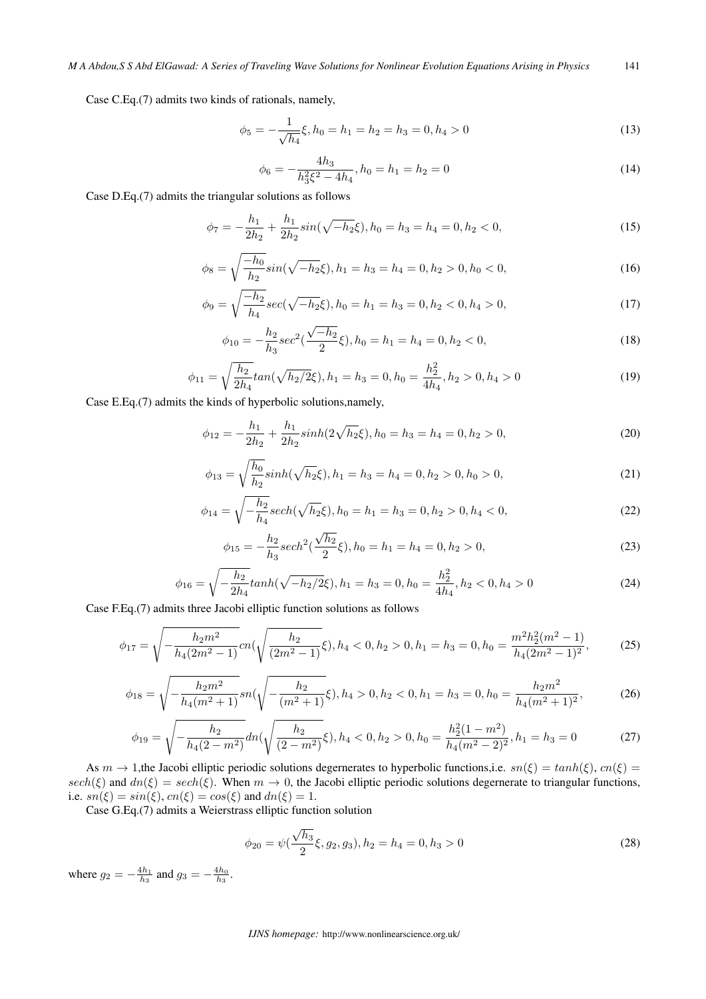Case C.Eq.(7) admits two kinds of rationals, namely,

$$
\phi_5 = -\frac{1}{\sqrt{h_4}} \xi, h_0 = h_1 = h_2 = h_3 = 0, h_4 > 0 \tag{13}
$$

$$
\phi_6 = -\frac{4h_3}{h_3^2 \xi^2 - 4h_4}, h_0 = h_1 = h_2 = 0 \tag{14}
$$

Case D.Eq.(7) admits the triangular solutions as follows

$$
\phi_7 = -\frac{h_1}{2h_2} + \frac{h_1}{2h_2} sin(\sqrt{-h_2}\xi), h_0 = h_3 = h_4 = 0, h_2 < 0,\tag{15}
$$

$$
\phi_8 = \sqrt{\frac{-h_0}{h_2}} \sin(\sqrt{-h_2}\xi), h_1 = h_3 = h_4 = 0, h_2 > 0, h_0 < 0,
$$
\n(16)

$$
\phi_9 = \sqrt{\frac{-h_2}{h_4}} sec(\sqrt{-h_2} \xi), h_0 = h_1 = h_3 = 0, h_2 < 0, h_4 > 0,
$$
\n(17)

$$
\phi_{10} = -\frac{h_2}{h_3} sec^2(\frac{\sqrt{-h_2}}{2}\xi), h_0 = h_1 = h_4 = 0, h_2 < 0,\tag{18}
$$

$$
\phi_{11} = \sqrt{\frac{h_2}{2h_4}} \tan(\sqrt{h_2/2}\xi), h_1 = h_3 = 0, h_0 = \frac{h_2^2}{4h_4}, h_2 > 0, h_4 > 0
$$
\n(19)

Case E.Eq.(7) admits the kinds of hyperbolic solutions,namely,

$$
\phi_{12} = -\frac{h_1}{2h_2} + \frac{h_1}{2h_2} \sinh(2\sqrt{h_2}\xi), h_0 = h_3 = h_4 = 0, h_2 > 0,
$$
\n(20)

$$
\phi_{13} = \sqrt{\frac{h_0}{h_2}} \sinh(\sqrt{h_2}\xi), h_1 = h_3 = h_4 = 0, h_2 > 0, h_0 > 0,
$$
\n(21)

$$
\phi_{14} = \sqrt{-\frac{h_2}{h_4}} sech(\sqrt{h_2}\xi), h_0 = h_1 = h_3 = 0, h_2 > 0, h_4 < 0,
$$
\n(22)

$$
\phi_{15} = -\frac{h_2}{h_3} sech^2(\frac{\sqrt{h_2}}{2}\xi), h_0 = h_1 = h_4 = 0, h_2 > 0,
$$
\n(23)

$$
\phi_{16} = \sqrt{-\frac{h_2}{2h_4}} \tanh(\sqrt{-h_2/2}\xi), h_1 = h_3 = 0, h_0 = \frac{h_2^2}{4h_4}, h_2 < 0, h_4 > 0 \tag{24}
$$

Case F.Eq.(7) admits three Jacobi elliptic function solutions as follows

$$
\phi_{17} = \sqrt{-\frac{h_2 m^2}{h_4 (2m^2 - 1)}} cn(\sqrt{\frac{h_2}{(2m^2 - 1)}} \xi), h_4 < 0, h_2 > 0, h_1 = h_3 = 0, h_0 = \frac{m^2 h_2^2 (m^2 - 1)}{h_4 (2m^2 - 1)^2},
$$
(25)

$$
\phi_{18} = \sqrt{-\frac{h_2 m^2}{h_4 (m^2 + 1)}} sn(\sqrt{-\frac{h_2}{(m^2 + 1)}} \xi), h_4 > 0, h_2 < 0, h_1 = h_3 = 0, h_0 = \frac{h_2 m^2}{h_4 (m^2 + 1)^2},
$$
(26)

$$
\phi_{19} = \sqrt{-\frac{h_2}{h_4(2-m^2)}} dn(\sqrt{\frac{h_2}{(2-m^2)}}\xi), h_4 < 0, h_2 > 0, h_0 = \frac{h_2^2(1-m^2)}{h_4(m^2-2)^2}, h_1 = h_3 = 0
$$
\n(27)

As  $m \to 1$ ,the Jacobi elliptic periodic solutions degernerates to hyperbolic functions,i.e.  $sn(\xi) = tanh(\xi)$ ,  $cn(\xi) =$  $sech(\xi)$  and  $dn(\xi) = sech(\xi)$ . When  $m \to 0$ , the Jacobi elliptic periodic solutions degernerate to triangular functions, i.e.  $sn(\xi) = sin(\xi)$ ,  $cn(\xi) = cos(\xi)$  and  $dn(\xi) = 1$ .

Case G.Eq.(7) admits a Weierstrass elliptic function solution

$$
\phi_{20} = \psi(\frac{\sqrt{h_3}}{2}\xi, g_2, g_3), h_2 = h_4 = 0, h_3 > 0
$$
\n(28)

where  $g_2 = -\frac{4h_1}{h_3}$  and  $g_3 = -\frac{4h_0}{h_3}$ .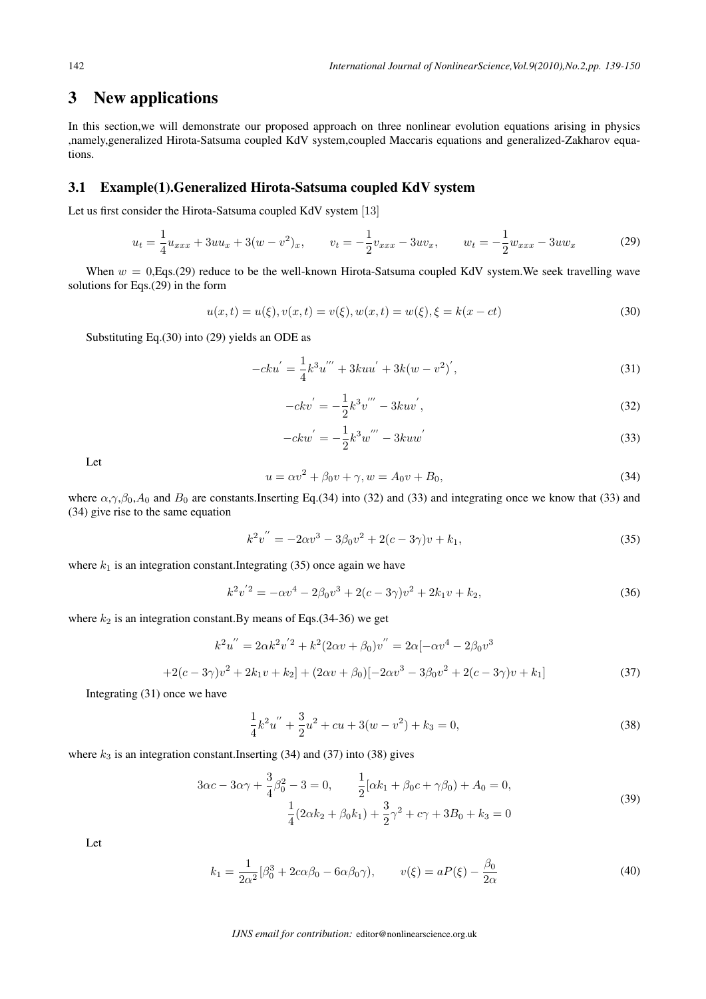## 3 New applications

In this section,we will demonstrate our proposed approach on three nonlinear evolution equations arising in physics ,namely,generalized Hirota-Satsuma coupled KdV system,coupled Maccaris equations and generalized-Zakharov equations.

#### 3.1 Example(1).Generalized Hirota-Satsuma coupled KdV system

Let us first consider the Hirota-Satsuma coupled KdV system [13]

$$
u_t = \frac{1}{4}u_{xxx} + 3uu_x + 3(w - v^2)_x, \qquad v_t = -\frac{1}{2}v_{xxx} - 3uv_x, \qquad w_t = -\frac{1}{2}w_{xxx} - 3uw_x \tag{29}
$$

When  $w = 0$ , Eqs.(29) reduce to be the well-known Hirota-Satsuma coupled KdV system. We seek travelling wave solutions for Eqs.(29) in the form

$$
u(x,t) = u(\xi), v(x,t) = v(\xi), w(x,t) = w(\xi), \xi = k(x - ct)
$$
\n(30)

Substituting Eq.(30) into (29) yields an ODE as

$$
-cku' = \frac{1}{4}k^3u''' + 3kuu' + 3k(w - v^2)',
$$
\n(31)

$$
-ckv' = -\frac{1}{2}k^3v''' - 3kuv',
$$
\n(32)

$$
-ckw' = -\frac{1}{2}k^3w''' - 3kuw'
$$
\n(33)

Let

$$
u = \alpha v^2 + \beta_0 v + \gamma, w = A_0 v + B_0,
$$
\n(34)

where  $\alpha$ , $\gamma$ , $\beta$ <sub>0</sub>, $A$ <sub>0</sub> and  $B$ <sub>0</sub> are constants.Inserting Eq.(34) into (32) and (33) and integrating once we know that (33) and (34) give rise to the same equation

$$
k^{2}v'' = -2\alpha v^{3} - 3\beta_{0}v^{2} + 2(c - 3\gamma)v + k_{1},
$$
\n(35)

where  $k_1$  is an integration constant. Integrating (35) once again we have

$$
k^{2}v^{'2} = -\alpha v^{4} - 2\beta_{0}v^{3} + 2(c - 3\gamma)v^{2} + 2k_{1}v + k_{2},
$$
\n(36)

where  $k_2$  is an integration constant. By means of Eqs.(34-36) we get

$$
k^{2}u'' = 2\alpha k^{2}v'^{2} + k^{2}(2\alpha v + \beta_{0})v'' = 2\alpha[-\alpha v^{4} - 2\beta_{0}v^{3}
$$

$$
+2(c - 3\gamma)v^{2} + 2k_{1}v + k_{2}] + (2\alpha v + \beta_{0})[-2\alpha v^{3} - 3\beta_{0}v^{2} + 2(c - 3\gamma)v + k_{1}]
$$
(37)

Integrating (31) once we have

$$
\frac{1}{4}k^2u'' + \frac{3}{2}u^2 + cu + 3(w - v^2) + k_3 = 0,
$$
\n(38)

where  $k_3$  is an integration constant.Inserting (34) and (37) into (38) gives

$$
3\alpha c - 3\alpha \gamma + \frac{3}{4}\beta_0^2 - 3 = 0, \qquad \frac{1}{2}[\alpha k_1 + \beta_0 c + \gamma \beta_0) + A_0 = 0,
$$
  

$$
\frac{1}{4}(2\alpha k_2 + \beta_0 k_1) + \frac{3}{2}\gamma^2 + c\gamma + 3B_0 + k_3 = 0
$$
 (39)

Let

$$
k_1 = \frac{1}{2\alpha^2} [\beta_0^3 + 2c\alpha\beta_0 - 6\alpha\beta_0\gamma), \qquad v(\xi) = aP(\xi) - \frac{\beta_0}{2\alpha}
$$
 (40)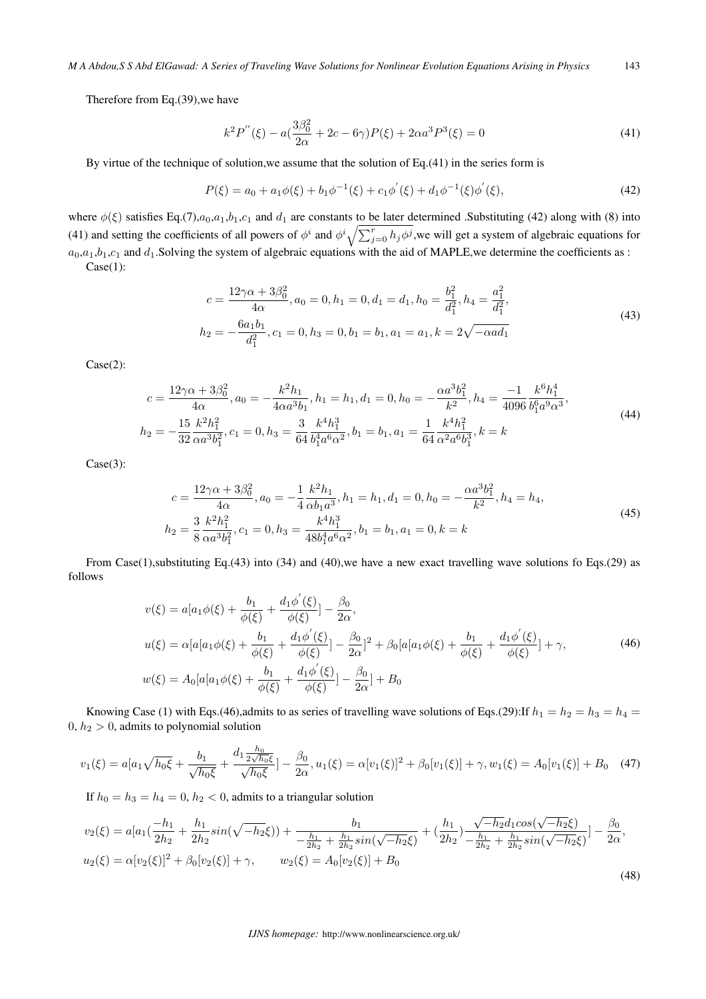Therefore from Eq.(39),we have

$$
k^2 P^{''}(\xi) - a\left(\frac{3\beta_0^2}{2\alpha} + 2c - 6\gamma\right)P(\xi) + 2\alpha a^3 P^3(\xi) = 0\tag{41}
$$

By virtue of the technique of solution,we assume that the solution of Eq.(41) in the series form is

$$
P(\xi) = a_0 + a_1 \phi(\xi) + b_1 \phi^{-1}(\xi) + c_1 \phi'(\xi) + d_1 \phi^{-1}(\xi) \phi'(\xi),
$$
\n(42)

where  $\phi(\xi)$  satisfies Eq.(7), $a_0$ , $a_1$ , $b_1$ , $c_1$  and  $d_1$  are constants to be later determined .Substituting (42) along with (8) into (41) and setting the coefficients of all powers of  $\phi^i$  and  $\phi^i \sqrt{\sum_{j=0}^r h_j \phi^j}$ , we will get a system of algebraic equations for  $a_0,a_1,b_1,c_1$  and  $d_1$ . Solving the system of algebraic equations with the aid of MAPLE, we determine the coefficients as :

Case(1):

$$
c = \frac{12\gamma\alpha + 3\beta_0^2}{4\alpha}, a_0 = 0, h_1 = 0, d_1 = d_1, h_0 = \frac{b_1^2}{d_1^2}, h_4 = \frac{a_1^2}{d_1^2},
$$
  

$$
h_2 = -\frac{6a_1b_1}{d_1^2}, c_1 = 0, h_3 = 0, b_1 = b_1, a_1 = a_1, k = 2\sqrt{-\alpha a d_1}
$$
 (43)

Case(2):

$$
c = \frac{12\gamma\alpha + 3\beta_0^2}{4\alpha}, a_0 = -\frac{k^2h_1}{4\alpha a^3b_1}, h_1 = h_1, d_1 = 0, h_0 = -\frac{\alpha a^3b_1^2}{k^2}, h_4 = \frac{-1}{4096} \frac{k^6h_1^4}{b_1^6a^9\alpha^3},
$$
  

$$
h_2 = -\frac{15}{32} \frac{k^2h_1^2}{\alpha a^3b_1^2}, c_1 = 0, h_3 = \frac{3}{64} \frac{k^4h_1^3}{b_1^4a^6\alpha^2}, b_1 = b_1, a_1 = \frac{1}{64} \frac{k^4h_1^2}{\alpha^2 a^6b_1^3}, k = k
$$
 (44)

Case(3):

$$
c = \frac{12\gamma\alpha + 3\beta_0^2}{4\alpha}, a_0 = -\frac{1}{4} \frac{k^2 h_1}{\alpha b_1 a^3}, h_1 = h_1, d_1 = 0, h_0 = -\frac{\alpha a^3 b_1^2}{k^2}, h_4 = h_4,
$$
  
\n
$$
h_2 = \frac{3}{8} \frac{k^2 h_1^2}{\alpha a^3 b_1^2}, c_1 = 0, h_3 = \frac{k^4 h_1^3}{48 b_1^4 a^6 \alpha^2}, b_1 = b_1, a_1 = 0, k = k
$$
\n(45)

From Case(1),substituting Eq.(43) into (34) and (40),we have a new exact travelling wave solutions fo Eqs.(29) as follows

$$
v(\xi) = a[a_1\phi(\xi) + \frac{b_1}{\phi(\xi)} + \frac{d_1\phi'(\xi)}{\phi(\xi)}] - \frac{\beta_0}{2\alpha},
$$
  
\n
$$
u(\xi) = \alpha[a[a_1\phi(\xi) + \frac{b_1}{\phi(\xi)} + \frac{d_1\phi'(\xi)}{\phi(\xi)}] - \frac{\beta_0}{2\alpha}]^2 + \beta_0[a[a_1\phi(\xi) + \frac{b_1}{\phi(\xi)} + \frac{d_1\phi'(\xi)}{\phi(\xi)}] + \gamma,
$$
\n
$$
w(\xi) = A_0[a[a_1\phi(\xi) + \frac{b_1}{\phi(\xi)} + \frac{d_1\phi'(\xi)}{\phi(\xi)}] - \frac{\beta_0}{2\alpha}] + B_0
$$
\n(46)

Knowing Case (1) with Eqs.(46),admits to as series of travelling wave solutions of Eqs.(29):If  $h_1 = h_2 = h_3 = h_4 =$ 0, *ℎ*<sup>2</sup> *>* 0, admits to polynomial solution

$$
v_1(\xi) = a[a_1\sqrt{h_0\xi} + \frac{b_1}{\sqrt{h_0\xi}} + \frac{d_1\frac{h_0}{2\sqrt{h_0\xi}}}{\sqrt{h_0\xi}}] - \frac{\beta_0}{2\alpha}, u_1(\xi) = \alpha[v_1(\xi)]^2 + \beta_0[v_1(\xi)] + \gamma, w_1(\xi) = A_0[v_1(\xi)] + B_0 \quad (47)
$$

If  $h_0 = h_3 = h_4 = 0$ ,  $h_2 < 0$ , admits to a triangular solution

$$
v_2(\xi) = a[a_1(\frac{-h_1}{2h_2} + \frac{h_1}{2h_2}sin(\sqrt{-h_2}\xi)) + \frac{b_1}{-\frac{h_1}{2h_2} + \frac{h_1}{2h_2}sin(\sqrt{-h_2}\xi)} + (\frac{h_1}{2h_2})\frac{\sqrt{-h_2}d_1cos(\sqrt{-h_2}\xi)}{-\frac{h_1}{2h_2} + \frac{h_1}{2h_2}sin(\sqrt{-h_2}\xi)}] - \frac{\beta_0}{2\alpha},
$$
  
\n
$$
u_2(\xi) = \alpha[v_2(\xi)]^2 + \beta_0[v_2(\xi)] + \gamma, \qquad w_2(\xi) = A_0[v_2(\xi)] + B_0
$$
\n(48)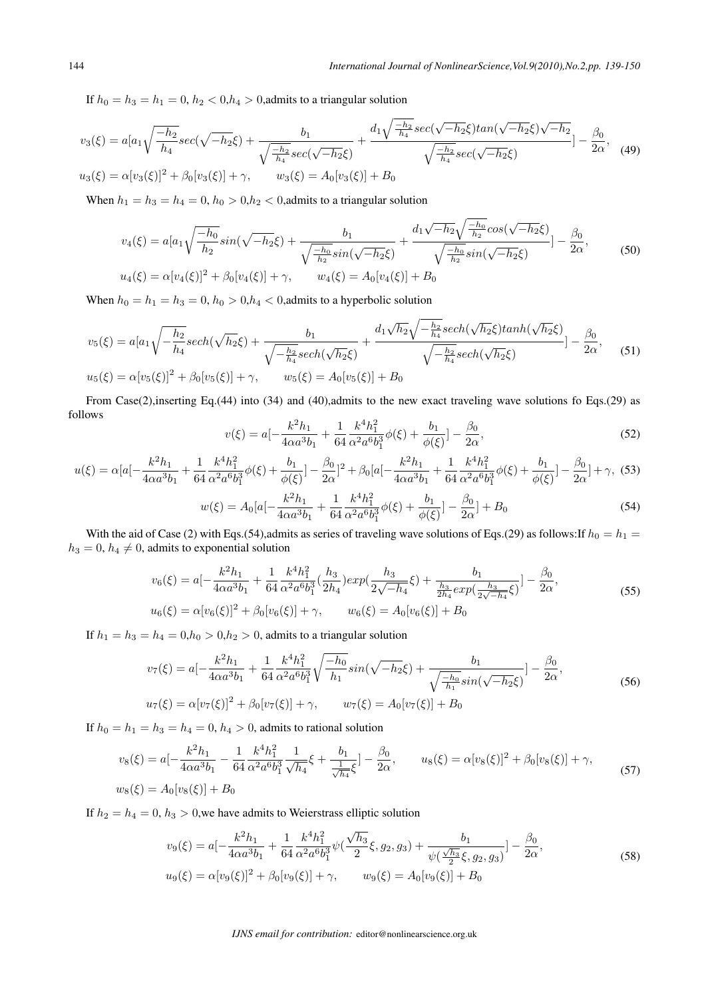If  $h_0 = h_3 = h_1 = 0$ ,  $h_2 < 0, h_4 > 0$ , admits to a triangular solution

$$
v_3(\xi) = a[a_1\sqrt{\frac{-h_2}{h_4}}sec(\sqrt{-h_2}\xi) + \frac{b_1}{\sqrt{\frac{-h_2}{h_4}}sec(\sqrt{-h_2}\xi)} + \frac{d_1\sqrt{\frac{-h_2}{h_4}}sec(\sqrt{-h_2}\xi)tan(\sqrt{-h_2}\xi)\sqrt{-h_2}}{\sqrt{\frac{-h_2}{h_4}}sec(\sqrt{-h_2}\xi)}] - \frac{\beta_0}{2\alpha},
$$
(49)  

$$
u_3(\xi) = \alpha[v_3(\xi)]^2 + \beta_0[v_3(\xi)] + \gamma,
$$
 
$$
w_3(\xi) = A_0[v_3(\xi)] + B_0
$$

When  $h_1 = h_3 = h_4 = 0$ ,  $h_0 > 0$ ,  $h_2 < 0$ , admits to a triangular solution

$$
v_4(\xi) = a[a_1\sqrt{\frac{-h_0}{h_2}}sin(\sqrt{-h_2}\xi) + \frac{b_1}{\sqrt{\frac{-h_0}{h_2}}sin(\sqrt{-h_2}\xi)} + \frac{d_1\sqrt{-h_2}\sqrt{\frac{-h_0}{h_2}}cos(\sqrt{-h_2}\xi)}{\sqrt{\frac{-h_0}{h_2}}sin(\sqrt{-h_2}\xi)}] - \frac{\beta_0}{2\alpha},
$$
  
\n
$$
u_4(\xi) = \alpha[v_4(\xi)]^2 + \beta_0[v_4(\xi)] + \gamma, \qquad w_4(\xi) = A_0[v_4(\xi)] + B_0
$$
\n(50)

When  $h_0 = h_1 = h_3 = 0$ ,  $h_0 > 0$ ,  $h_4 < 0$ , admits to a hyperbolic solution

$$
v_5(\xi) = a[a_1\sqrt{-\frac{h_2}{h_4}}sech(\sqrt{h_2}\xi) + \frac{b_1}{\sqrt{-\frac{h_2}{h_4}}sech(\sqrt{h_2}\xi)} + \frac{d_1\sqrt{h_2}\sqrt{-\frac{h_2}{h_4}}sech(\sqrt{h_2}\xi)tanh(\sqrt{h_2}\xi)}{\sqrt{-\frac{h_2}{h_4}}sech(\sqrt{h_2}\xi)}] - \frac{\beta_0}{2\alpha},
$$
(51)  

$$
u_5(\xi) = \alpha[v_5(\xi)]^2 + \beta_0[v_5(\xi)] + \gamma, \qquad w_5(\xi) = A_0[v_5(\xi)] + B_0
$$

From Case(2),inserting Eq.(44) into (34) and (40),admits to the new exact traveling wave solutions fo Eqs.(29) as follows

$$
v(\xi) = a \left[ -\frac{k^2 h_1}{4\alpha a^3 b_1} + \frac{1}{64} \frac{k^4 h_1^2}{\alpha^2 a^6 b_1^3} \phi(\xi) + \frac{b_1}{\phi(\xi)} \right] - \frac{\beta_0}{2\alpha},\tag{52}
$$

$$
u(\xi) = \alpha \left[a - \frac{k^2 h_1}{4\alpha a^3 b_1} + \frac{1}{64} \frac{k^4 h_1^2}{\alpha^2 a^6 b_1^3} \phi(\xi) + \frac{b_1}{\phi(\xi)}\right] - \frac{\beta_0}{2\alpha} \left[a - \frac{k^2 h_1}{4\alpha a^3 b_1} + \frac{1}{64} \frac{k^4 h_1^2}{\alpha^2 a^6 b_1^3} \phi(\xi) + \frac{b_1}{\phi(\xi)}\right] - \frac{\beta_0}{2\alpha} \left[a + \gamma, (53) - \frac{k^2 h_1}{4\alpha a^3 b_1} \phi(\xi)\right] - \frac{\beta_0}{2\alpha} \left[a - \frac{k^2 h_1}{4\alpha a^3 b_1} \phi(\xi)\right] - \frac{\beta_0}{2\alpha} \left[a - \frac{k^2 h_1}{4\alpha a^3 b_1} \phi(\xi)\right] - \frac{\beta_0}{2\alpha} \left[a - \frac{k^2 h_1}{4\alpha a^3 b_1} \phi(\xi)\right] - \frac{\beta_0}{2\alpha} \left[a - \frac{k^2 h_1}{4\alpha a^3 b_1} \phi(\xi)\right] - \frac{\beta_0}{2\alpha} \left[a - \frac{k^2 h_1}{4\alpha a^3 b_1} \phi(\xi)\right] - \frac{\beta_0}{2\alpha} \left[a - \frac{k^2 h_1}{4\alpha a^3 b_1} \phi(\xi)\right] - \frac{\beta_0}{2\alpha} \left[a - \frac{k^2 h_1}{4\alpha a^3 b_1} \phi(\xi)\right] - \frac{\beta_0}{2\alpha} \left[a - \frac{k^2 h_1}{4\alpha a^3 b_1} \phi(\xi)\right] - \frac{\beta_0}{2\alpha} \left[a - \frac{k^2 h_1}{4\alpha a^3 b_1} \phi(\xi)\right] - \frac{\beta_0}{2\alpha} \left[a - \frac{k^2 h_1}{4\alpha a^3 b_1} \phi(\xi)\right] - \frac{\beta_0}{2\alpha} \left[a - \frac{k^2 h_1}{4\alpha a^3 b_1} \phi(\xi)\right] - \frac{\beta_0}{2\alpha} \left[a - \frac{k^2 h_1}{4\alpha a^3 b_1} \phi(\xi)\right] - \frac{\beta_0}{2\alpha} \left[a - \frac{k^2 h_1}{4\alpha a^3 b
$$

$$
w(\xi) = A_0[a] - \frac{k^2 h_1}{4\alpha a^3 b_1} + \frac{1}{64} \frac{k^4 h_1^2}{\alpha^2 a^6 b_1^3} \phi(\xi) + \frac{b_1}{\phi(\xi)}] - \frac{\beta_0}{2\alpha} + B_0
$$
\n(54)

With the aid of Case (2) with Eqs.(54),admits as series of traveling wave solutions of Eqs.(29) as follows:If  $h_0 = h_1 =$  $h_3 = 0$ ,  $h_4 \neq 0$ , admits to exponential solution

$$
v_6(\xi) = a\left[-\frac{k^2h_1}{4\alpha a^3b_1} + \frac{1}{64}\frac{k^4h_1^2}{\alpha^2 a^6b_1^3}(\frac{h_3}{2h_4})exp(\frac{h_3}{2\sqrt{-h_4}}\xi) + \frac{b_1}{\frac{h_3}{2h_4}exp(\frac{h_3}{2\sqrt{-h_4}}\xi)}\right] - \frac{\beta_0}{2\alpha},
$$
  
\n
$$
u_6(\xi) = \alpha[v_6(\xi)]^2 + \beta_0[v_6(\xi)] + \gamma, \qquad w_6(\xi) = A_0[v_6(\xi)] + B_0
$$
\n(55)

If  $h_1 = h_3 = h_4 = 0, h_0 > 0, h_2 > 0$ , admits to a triangular solution

$$
v_7(\xi) = a \left[ -\frac{k^2 h_1}{4\alpha a^3 b_1} + \frac{1}{64} \frac{k^4 h_1^2}{\alpha^2 a^6 b_1^3} \sqrt{\frac{-h_0}{h_1}} sin(\sqrt{-h_2} \xi) + \frac{b_1}{\sqrt{\frac{-h_0}{h_1}} sin(\sqrt{-h_2} \xi)} \right] - \frac{\beta_0}{2\alpha},
$$
  
\n
$$
u_7(\xi) = \alpha [v_7(\xi)]^2 + \beta_0 [v_7(\xi)] + \gamma, \qquad w_7(\xi) = A_0 [v_7(\xi)] + B_0
$$
\n(56)

If  $h_0 = h_1 = h_3 = h_4 = 0$ ,  $h_4 > 0$ , admits to rational solution

$$
v_8(\xi) = a\left[-\frac{k^2h_1}{4\alpha a^3b_1} - \frac{1}{64}\frac{k^4h_1^2}{\alpha^2 a^6b_1^3} \frac{1}{\sqrt{h_4}}\xi + \frac{b_1}{\frac{1}{\sqrt{h_4}}\xi}\right] - \frac{\beta_0}{2\alpha}, \qquad u_8(\xi) = \alpha[v_8(\xi)]^2 + \beta_0[v_8(\xi)] + \gamma,
$$
  
\n
$$
w_8(\xi) = A_0[v_8(\xi)] + B_0
$$
\n(57)

If  $h_2 = h_4 = 0$ ,  $h_3 > 0$ , we have admits to Weierstrass elliptic solution

$$
v_9(\xi) = a \left[ -\frac{k^2 h_1}{4\alpha a^3 b_1} + \frac{1}{64} \frac{k^4 h_1^2}{\alpha^2 a^6 b_1^3} \psi\left(\frac{\sqrt{h_3}}{2} \xi, g_2, g_3\right) + \frac{b_1}{\psi\left(\frac{\sqrt{h_3}}{2} \xi, g_2, g_3\right)} \right] - \frac{\beta_0}{2\alpha},
$$
  
\n
$$
u_9(\xi) = \alpha [v_9(\xi)]^2 + \beta_0 [v_9(\xi)] + \gamma, \qquad w_9(\xi) = A_0 [v_9(\xi)] + B_0
$$
\n(58)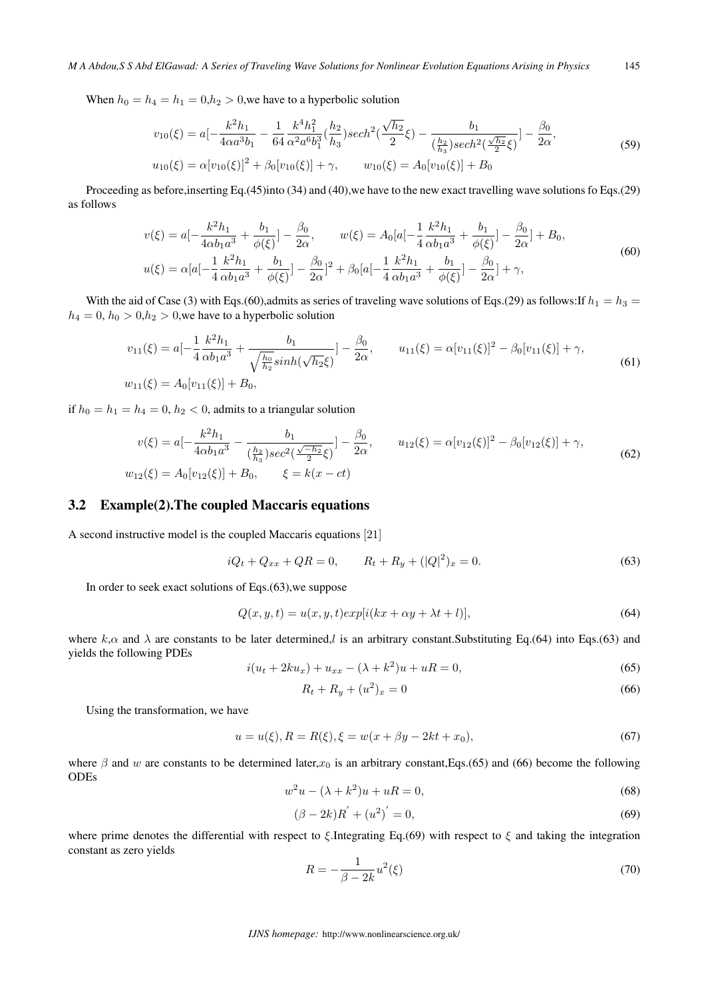When  $h_0 = h_4 = h_1 = 0, h_2 > 0$ , we have to a hyperbolic solution

$$
v_{10}(\xi) = a\left[-\frac{k^2h_1}{4\alpha a^3b_1} - \frac{1}{64}\frac{k^4h_1^2}{\alpha^2 a^6b_1^3}(\frac{h_2}{h_3})sech^2(\frac{\sqrt{h_2}}{2}\xi) - \frac{b_1}{(\frac{h_2}{h_3})sech^2(\frac{\sqrt{h_2}}{2}\xi)}\right] - \frac{\beta_0}{2\alpha},
$$
  
\n
$$
u_{10}(\xi) = \alpha[v_{10}(\xi)]^2 + \beta_0[v_{10}(\xi)] + \gamma,
$$
 
$$
w_{10}(\xi) = A_0[v_{10}(\xi)] + B_0
$$
\n(59)

Proceeding as before,inserting Eq.(45)into (34) and (40),we have to the new exact travelling wave solutions fo Eqs.(29) as follows

$$
v(\xi) = a\left[-\frac{k^2h_1}{4\alpha b_1a^3} + \frac{b_1}{\phi(\xi)}\right] - \frac{\beta_0}{2\alpha}, \qquad w(\xi) = A_0[a\left[-\frac{1}{4}\frac{k^2h_1}{\alpha b_1a^3} + \frac{b_1}{\phi(\xi)}\right] - \frac{\beta_0}{2\alpha}] + B_0,
$$
  

$$
u(\xi) = \alpha[a\left[-\frac{1}{4}\frac{k^2h_1}{\alpha b_1a^3} + \frac{b_1}{\phi(\xi)}\right] - \frac{\beta_0}{2\alpha}]^2 + \beta_0[a\left[-\frac{1}{4}\frac{k^2h_1}{\alpha b_1a^3} + \frac{b_1}{\phi(\xi)}\right] - \frac{\beta_0}{2\alpha}] + \gamma,
$$
 (60)

With the aid of Case (3) with Eqs.(60),admits as series of traveling wave solutions of Eqs.(29) as follows:If  $h_1 = h_3$  $h_4 = 0$ ,  $h_0 > 0, h_2 > 0$ , we have to a hyperbolic solution

$$
v_{11}(\xi) = a\left[-\frac{1}{4}\frac{k^2h_1}{\alpha b_1a^3} + \frac{b_1}{\sqrt{\frac{h_0}{h_2}}sinh(\sqrt{h_2}\xi)}\right] - \frac{\beta_0}{2\alpha}, \qquad u_{11}(\xi) = \alpha[v_{11}(\xi)]^2 - \beta_0[v_{11}(\xi)] + \gamma,
$$
\n
$$
w_{11}(\xi) = A_0[v_{11}(\xi)] + B_0,
$$
\n(61)

if  $h_0 = h_1 = h_4 = 0$ ,  $h_2 < 0$ , admits to a triangular solution

$$
v(\xi) = a\left[-\frac{k^2h_1}{4\alpha b_1 a^3} - \frac{b_1}{(\frac{h_2}{h_3})sec^2(\frac{\sqrt{-h_2}}{2}\xi)}\right] - \frac{\beta_0}{2\alpha}, \qquad u_{12}(\xi) = \alpha[v_{12}(\xi)]^2 - \beta_0[v_{12}(\xi)] + \gamma,
$$
  
\n
$$
w_{12}(\xi) = A_0[v_{12}(\xi)] + B_0, \qquad \xi = k(x - ct)
$$
\n(62)

#### 3.2 Example(2).The coupled Maccaris equations

A second instructive model is the coupled Maccaris equations [21]

$$
iQ_t + Q_{xx} + QR = 0, \qquad R_t + R_y + (|Q|^2)_x = 0.
$$
\n(63)

In order to seek exact solutions of Eqs.(63),we suppose

$$
Q(x, y, t) = u(x, y, t)exp[i(kx + \alpha y + \lambda t + l)],
$$
\n(64)

where  $k, \alpha$  and  $\lambda$  are constants to be later determined, is an arbitrary constant. Substituting Eq.(64) into Eqs.(63) and yields the following PDEs

$$
i(u_t + 2ku_x) + u_{xx} - (\lambda + k^2)u + uR = 0,
$$
\n(65)

$$
R_t + R_y + (u^2)_x = 0 \t\t(66)
$$

Using the transformation, we have

$$
u = u(\xi), R = R(\xi), \xi = w(x + \beta y - 2kt + x_0),
$$
\n(67)

where  $\beta$  and w are constants to be determined later, $x_0$  is an arbitrary constant,Eqs.(65) and (66) become the following ODEs

$$
w^2u - (\lambda + k^2)u + uR = 0,
$$
\n(68)

$$
(\beta - 2k)R' + (u^2)' = 0,\t(69)
$$

where prime denotes the differential with respect to  $\xi$ . Integrating Eq.(69) with respect to  $\xi$  and taking the integration constant as zero yields

$$
R = -\frac{1}{\beta - 2k}u^2(\xi)
$$
\n<sup>(70)</sup>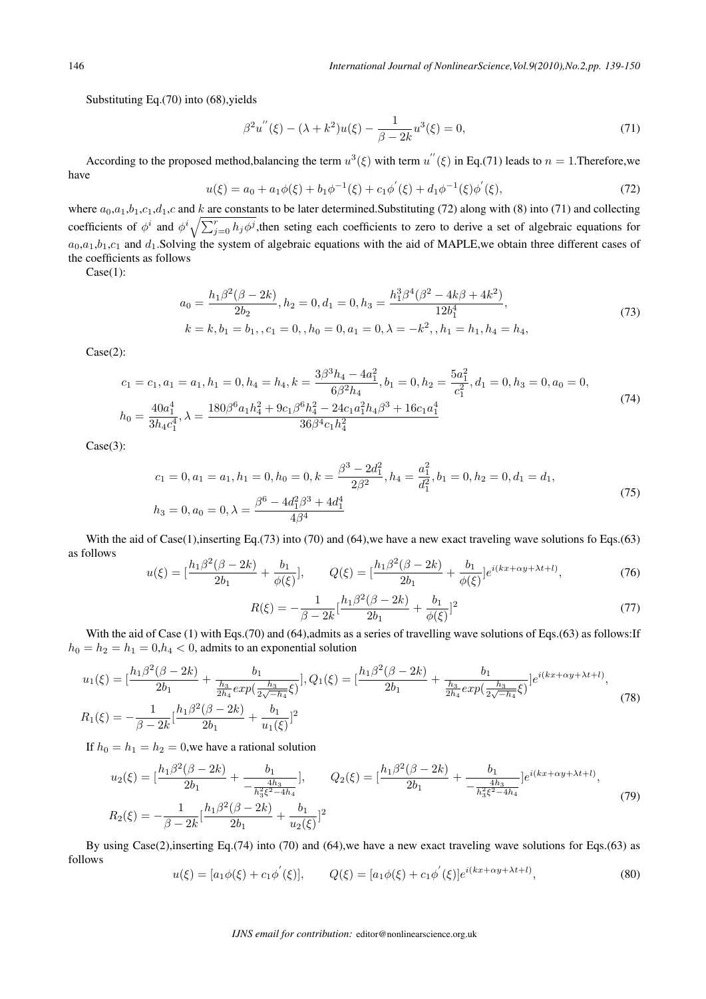Substituting Eq.(70) into (68), vields

$$
\beta^2 u''(\xi) - (\lambda + k^2)u(\xi) - \frac{1}{\beta - 2k}u^3(\xi) = 0,\tag{71}
$$

According to the proposed method,balancing the term  $u^3(\xi)$  with term  $u''(\xi)$  in Eq.(71) leads to  $n = 1$ . Therefore, we have

$$
u(\xi) = a_0 + a_1 \phi(\xi) + b_1 \phi^{-1}(\xi) + c_1 \phi'(\xi) + d_1 \phi^{-1}(\xi) \phi'(\xi),
$$
\n(72)

where  $a_0, a_1, b_1, c_1, d_1, c$  and  $k$  are constants to be later determined. Substituting (72) along with (8) into (71) and collecting coefficients of  $\phi^i$  and  $\phi^i \sqrt{\sum_{j=0}^r h_j \phi^j}$ , then seting each coefficients to zero to derive a set of algebraic equations for  $a_0,a_1,b_1,c_1$  and  $d_1$ . Solving the system of algebraic equations with the aid of MAPLE, we obtain three different cases of the coefficients as follows

Case(1):

$$
a_0 = \frac{h_1 \beta^2 (\beta - 2k)}{2b_2}, h_2 = 0, d_1 = 0, h_3 = \frac{h_1^3 \beta^4 (\beta^2 - 4k\beta + 4k^2)}{12b_1^4},
$$
  
\n
$$
k = k, b_1 = b_1, c_1 = 0, h_0 = 0, a_1 = 0, \lambda = -k^2, h_1 = h_1, h_4 = h_4,
$$
\n(73)

Case(2):

$$
c_1 = c_1, a_1 = a_1, h_1 = 0, h_4 = h_4, k = \frac{3\beta^3 h_4 - 4a_1^2}{6\beta^2 h_4}, b_1 = 0, h_2 = \frac{5a_1^2}{c_1^2}, d_1 = 0, h_3 = 0, a_0 = 0,
$$
  
\n
$$
h_0 = \frac{40a_1^4}{3h_4c_1^4}, \lambda = \frac{180\beta^6 a_1h_4^2 + 9c_1\beta^6 h_4^2 - 24c_1a_1^2h_4\beta^3 + 16c_1a_1^4}{36\beta^4 c_1h_4^2}
$$
\n(74)

Case(3):

$$
c_1 = 0, a_1 = a_1, h_1 = 0, h_0 = 0, k = \frac{\beta^3 - 2d_1^2}{2\beta^2}, h_4 = \frac{a_1^2}{d_1^2}, b_1 = 0, h_2 = 0, d_1 = d_1,
$$
  
\n
$$
h_3 = 0, a_0 = 0, \lambda = \frac{\beta^6 - 4d_1^2\beta^3 + 4d_1^4}{4\beta^4}
$$
\n(75)

With the aid of  $\text{Case}(1)$ , inserting Eq.(73) into (70) and (64), we have a new exact traveling wave solutions fo Eqs.(63) as follows

$$
u(\xi) = \left[\frac{h_1\beta^2(\beta - 2k)}{2b_1} + \frac{b_1}{\phi(\xi)}\right], \qquad Q(\xi) = \left[\frac{h_1\beta^2(\beta - 2k)}{2b_1} + \frac{b_1}{\phi(\xi)}\right]e^{i(kx + \alpha y + \lambda t + l)},\tag{76}
$$

$$
R(\xi) = -\frac{1}{\beta - 2k} \left[ \frac{h_1 \beta^2 (\beta - 2k)}{2b_1} + \frac{b_1}{\phi(\xi)} \right]^2 \tag{77}
$$

With the aid of Case (1) with Eqs.(70) and (64),admits as a series of travelling wave solutions of Eqs.(63) as follows:If  $h_0 = h_2 = h_1 = 0, h_4 < 0$ , admits to an exponential solution

$$
u_1(\xi) = \left[\frac{h_1\beta^2(\beta - 2k)}{2b_1} + \frac{b_1}{\frac{h_3}{2h_4}exp(\frac{h_3}{2\sqrt{-h_4}}\xi)}\right], Q_1(\xi) = \left[\frac{h_1\beta^2(\beta - 2k)}{2b_1} + \frac{b_1}{\frac{h_3}{2h_4}exp(\frac{h_3}{2\sqrt{-h_4}}\xi)}\right]e^{i(kx + \alpha y + \lambda t + l)},
$$
\n
$$
R_1(\xi) = -\frac{1}{\beta - 2k}\left[\frac{h_1\beta^2(\beta - 2k)}{2b_1} + \frac{b_1}{u_1(\xi)}\right]^2
$$
\n(78)

If  $h_0 = h_1 = h_2 = 0$ , we have a rational solution

$$
u_2(\xi) = \left[\frac{h_1 \beta^2 (\beta - 2k)}{2b_1} + \frac{b_1}{-\frac{4h_3}{h_3^2 \xi^2 - 4h_4}}\right], \qquad Q_2(\xi) = \left[\frac{h_1 \beta^2 (\beta - 2k)}{2b_1} + \frac{b_1}{-\frac{4h_3}{h_3^2 \xi^2 - 4h_4}}\right] e^{i(kx + \alpha y + \lambda t + l)},
$$
\n
$$
R_2(\xi) = -\frac{1}{\beta - 2k} \left[\frac{h_1 \beta^2 (\beta - 2k)}{2b_1} + \frac{b_1}{u_2(\xi)}\right]^2
$$
\n(79)

By using Case(2),inserting Eq.(74) into (70) and (64),we have a new exact traveling wave solutions for Eqs.(63) as follows

$$
u(\xi) = [a_1 \phi(\xi) + c_1 \phi'(\xi)], \qquad Q(\xi) = [a_1 \phi(\xi) + c_1 \phi'(\xi)]e^{i(kx + \alpha y + \lambda t + l)}, \tag{80}
$$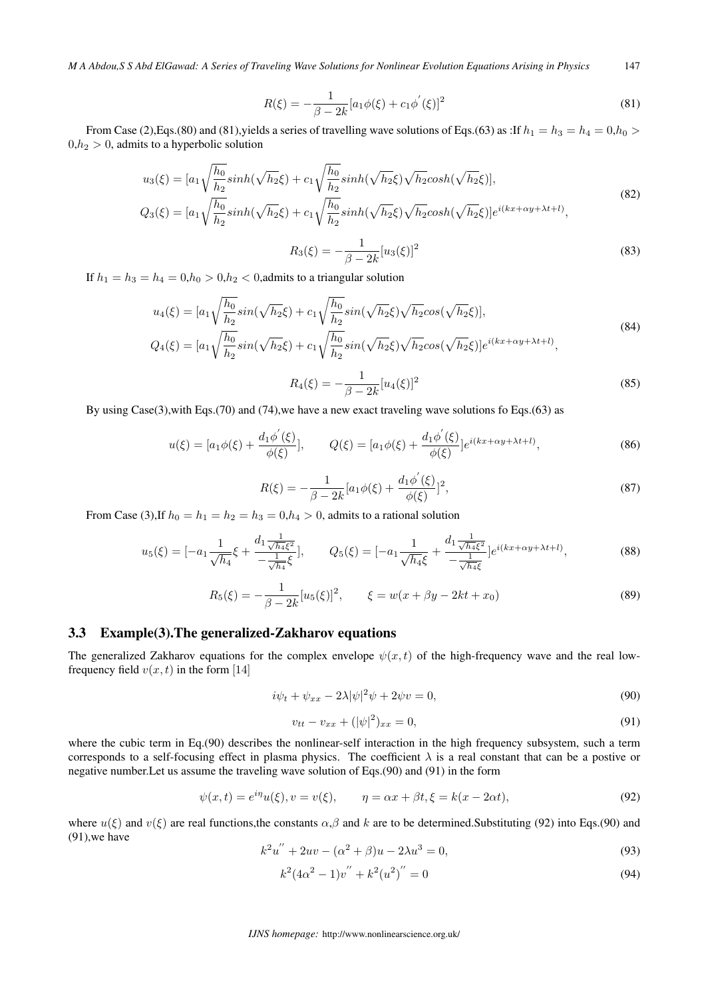*M A Abdou,S S Abd ElGawad: A Series of Traveling Wave Solutions for Nonlinear Evolution Equations Arising in Physics* 147

$$
R(\xi) = -\frac{1}{\beta - 2k} [a_1 \phi(\xi) + c_1 \phi'(\xi)]^2
$$
\n(81)

From Case (2),Eqs.(80) and (81),yields a series of travelling wave solutions of Eqs.(63) as :If *ℎ*<sup>1</sup> = *ℎ*<sup>3</sup> = *ℎ*<sup>4</sup> = 0,*ℎ*<sup>0</sup> *>*  $0,h_2 > 0$ , admits to a hyperbolic solution

$$
u_3(\xi) = [a_1 \sqrt{\frac{h_0}{h_2}} \sinh(\sqrt{h_2}\xi) + c_1 \sqrt{\frac{h_0}{h_2}} \sinh(\sqrt{h_2}\xi) \sqrt{h_2} \cosh(\sqrt{h_2}\xi)],
$$
  
\n
$$
Q_3(\xi) = [a_1 \sqrt{\frac{h_0}{h_2}} \sinh(\sqrt{h_2}\xi) + c_1 \sqrt{\frac{h_0}{h_2}} \sinh(\sqrt{h_2}\xi) \sqrt{h_2} \cosh(\sqrt{h_2}\xi)] e^{i(kx + \alpha y + \lambda t + l)},
$$
\n(82)

$$
R_3(\xi) = -\frac{1}{\beta - 2k} [u_3(\xi)]^2
$$
\n(83)

If  $h_1 = h_3 = h_4 = 0, h_0 > 0, h_2 < 0$ , admits to a triangular solution

$$
u_4(\xi) = [a_1 \sqrt{\frac{h_0}{h_2}} sin(\sqrt{h_2} \xi) + c_1 \sqrt{\frac{h_0}{h_2}} sin(\sqrt{h_2} \xi) \sqrt{h_2} cos(\sqrt{h_2} \xi)],
$$
  
\n
$$
Q_4(\xi) = [a_1 \sqrt{\frac{h_0}{h_2}} sin(\sqrt{h_2} \xi) + c_1 \sqrt{\frac{h_0}{h_2}} sin(\sqrt{h_2} \xi) \sqrt{h_2} cos(\sqrt{h_2} \xi)] e^{i(kx + \alpha y + \lambda t + l)},
$$
\n(84)

$$
R_4(\xi) = -\frac{1}{\beta - 2k} [u_4(\xi)]^2
$$
\n(85)

By using Case(3),with Eqs.(70) and (74),we have a new exact traveling wave solutions fo Eqs.(63) as

$$
u(\xi) = [a_1 \phi(\xi) + \frac{d_1 \phi'(\xi)}{\phi(\xi)}], \qquad Q(\xi) = [a_1 \phi(\xi) + \frac{d_1 \phi'(\xi)}{\phi(\xi)}]e^{i(kx + \alpha y + \lambda t + l)}, \tag{86}
$$

$$
R(\xi) = -\frac{1}{\beta - 2k} [a_1 \phi(\xi) + \frac{d_1 \phi'(\xi)}{\phi(\xi)}]^2,
$$
\n(87)

From Case (3), If  $h_0 = h_1 = h_2 = h_3 = 0, h_4 > 0$ , admits to a rational solution

$$
u_5(\xi) = \left[ -a_1 \frac{1}{\sqrt{h_4}} \xi + \frac{d_1 \frac{1}{\sqrt{h_4 \xi^2}}}{-\frac{1}{\sqrt{h_4}} \xi} \right], \qquad Q_5(\xi) = \left[ -a_1 \frac{1}{\sqrt{h_4 \xi}} + \frac{d_1 \frac{1}{\sqrt{h_4 \xi^2}}}{-\frac{1}{\sqrt{h_4 \xi}}} \right] e^{i(kx + \alpha y + \lambda t + l)}, \tag{88}
$$

$$
R_5(\xi) = -\frac{1}{\beta - 2k} [u_5(\xi)]^2, \qquad \xi = w(x + \beta y - 2kt + x_0)
$$
\n(89)

#### 3.3 Example(3).The generalized-Zakharov equations

The generalized Zakharov equations for the complex envelope  $\psi(x, t)$  of the high-frequency wave and the real lowfrequency field  $v(x, t)$  in the form [14]

$$
i\psi_t + \psi_{xx} - 2\lambda |\psi|^2 \psi + 2\psi v = 0,
$$
\n(90)

$$
v_{tt} - v_{xx} + (|\psi|^2)_{xx} = 0,
$$
\n(91)

where the cubic term in Eq.(90) describes the nonlinear-self interaction in the high frequency subsystem, such a term corresponds to a self-focusing effect in plasma physics. The coefficient  $\lambda$  is a real constant that can be a postive or negative number.Let us assume the traveling wave solution of Eqs.(90) and (91) in the form

$$
\psi(x,t) = e^{i\eta}u(\xi), v = v(\xi), \qquad \eta = \alpha x + \beta t, \xi = k(x - 2\alpha t),
$$
\n(92)

where  $u(\xi)$  and  $v(\xi)$  are real functions,the constants  $\alpha, \beta$  and k are to be determined.Substituting (92) into Eqs.(90) and (91),we have

$$
k2u'' + 2uv - (\alpha2 + \beta)u - 2\lambda u3 = 0,
$$
\n(93)

$$
k^{2}(4\alpha^{2}-1)v'' + k^{2}(u^{2})'' = 0
$$
\n(94)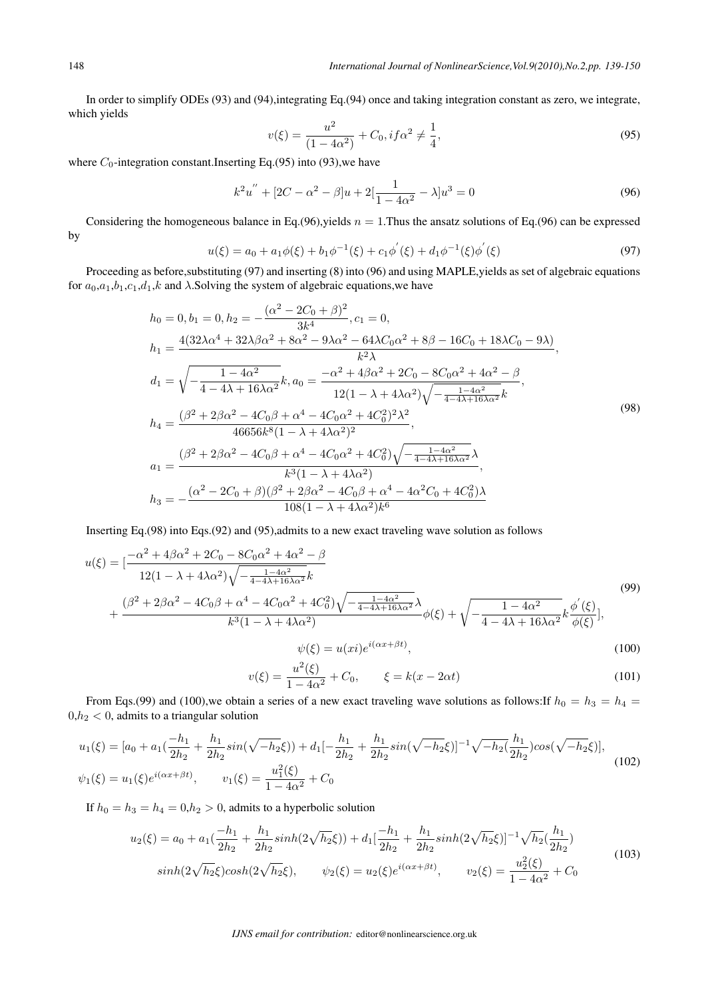In order to simplify ODEs (93) and (94), integrating Eq.(94) once and taking integration constant as zero, we integrate, which yields

$$
v(\xi) = \frac{u^2}{(1 - 4\alpha^2)} + C_0, if \alpha^2 \neq \frac{1}{4},
$$
\n(95)

where  $C_0$ -integration constant.Inserting Eq.(95) into (93), we have

$$
k^{2}u'' + [2C - \alpha^{2} - \beta]u + 2[\frac{1}{1 - 4\alpha^{2}} - \lambda]u^{3} = 0
$$
\n(96)

Considering the homogeneous balance in Eq.(96), yields  $n = 1$ . Thus the ansatz solutions of Eq.(96) can be expressed by

$$
u(\xi) = a_0 + a_1 \phi(\xi) + b_1 \phi^{-1}(\xi) + c_1 \phi'(\xi) + d_1 \phi^{-1}(\xi) \phi'(\xi)
$$
\n(97)

Proceeding as before,substituting (97) and inserting (8) into (96) and using MAPLE,yields as set of algebraic equations for  $a_0,a_1,b_1,c_1,d_1,k$  and  $\lambda$ . Solving the system of algebraic equations, we have

$$
h_0 = 0, b_1 = 0, h_2 = -\frac{(\alpha^2 - 2C_0 + \beta)^2}{3k^4}, c_1 = 0,
$$
  
\n
$$
h_1 = \frac{4(32\lambda\alpha^4 + 32\lambda\beta\alpha^2 + 8\alpha^2 - 9\lambda\alpha^2 - 64\lambda C_0\alpha^2 + 8\beta - 16C_0 + 18\lambda C_0 - 9\lambda)}{k^2\lambda},
$$
  
\n
$$
d_1 = \sqrt{-\frac{1 - 4\alpha^2}{4 - 4\lambda + 16\lambda\alpha^2}}k, a_0 = \frac{-\alpha^2 + 4\beta\alpha^2 + 2C_0 - 8C_0\alpha^2 + 4\alpha^2 - \beta}{12(1 - \lambda + 4\lambda\alpha^2)\sqrt{-\frac{1 - 4\alpha^2}{4 - 4\lambda + 16\lambda\alpha^2}}k},
$$
  
\n
$$
h_4 = \frac{(\beta^2 + 2\beta\alpha^2 - 4C_0\beta + \alpha^4 - 4C_0\alpha^2 + 4C_0^2)^2\lambda^2}{46656k^8(1 - \lambda + 4\lambda\alpha^2)^2},
$$
  
\n
$$
a_1 = \frac{(\beta^2 + 2\beta\alpha^2 - 4C_0\beta + \alpha^4 - 4C_0\alpha^2 + 4C_0^2)\sqrt{-\frac{1 - 4\alpha^2}{4 - 4\lambda + 16\lambda\alpha^2}}}{k^3(1 - \lambda + 4\lambda\alpha^2)},
$$
  
\n
$$
h_3 = -\frac{(\alpha^2 - 2C_0 + \beta)(\beta^2 + 2\beta\alpha^2 - 4C_0\beta + \alpha^4 - 4\alpha^2C_0 + 4C_0^2)\lambda}{108(1 - \lambda + 4\lambda\alpha^2)k^6}
$$
 (98)

Inserting Eq.(98) into Eqs.(92) and (95),admits to a new exact traveling wave solution as follows

$$
u(\xi) = \left[\frac{-\alpha^2 + 4\beta\alpha^2 + 2C_0 - 8C_0\alpha^2 + 4\alpha^2 - \beta}{12(1 - \lambda + 4\lambda\alpha^2)\sqrt{-\frac{1 - 4\alpha^2}{4 - 4\lambda + 16\lambda\alpha^2}}k}\right] + \frac{(\beta^2 + 2\beta\alpha^2 - 4C_0\beta + \alpha^4 - 4C_0\alpha^2 + 4C_0^2)\sqrt{-\frac{1 - 4\alpha^2}{4 - 4\lambda + 16\lambda\alpha^2}}\lambda}{k^3(1 - \lambda + 4\lambda\alpha^2)}\phi(\xi) + \sqrt{-\frac{1 - 4\alpha^2}{4 - 4\lambda + 16\lambda\alpha^2}}k\frac{\phi'(\xi)}{\phi(\xi)}\right],
$$
\n
$$
\psi(\xi) = u(xi)e^{i(\alpha x + \beta t)},
$$
\n(100)

$$
v(\xi) = \frac{u^2(\xi)}{1 - 4\alpha^2} + C_0, \qquad \xi = k(x - 2\alpha t)
$$
\n(101)

From Eqs.(99) and (100),we obtain a series of a new exact traveling wave solutions as follows:If  $h_0 = h_3 = h_4 =$  $0,h_2 < 0$ , admits to a triangular solution

$$
u_1(\xi) = [a_0 + a_1(\frac{-h_1}{2h_2} + \frac{h_1}{2h_2}sin(\sqrt{-h_2}\xi)) + d_1[-\frac{h_1}{2h_2} + \frac{h_1}{2h_2}sin(\sqrt{-h_2}\xi)]^{-1}\sqrt{-h_2}(\frac{h_1}{2h_2})cos(\sqrt{-h_2}\xi)],
$$
  

$$
\psi_1(\xi) = u_1(\xi)e^{i(\alpha x + \beta t)}, \qquad v_1(\xi) = \frac{u_1^2(\xi)}{1 - 4\alpha^2} + C_0
$$
\n(102)

If  $h_0 = h_3 = h_4 = 0, h_2 > 0$ , admits to a hyperbolic solution

$$
u_2(\xi) = a_0 + a_1 \left(\frac{-h_1}{2h_2} + \frac{h_1}{2h_2} \sinh(2\sqrt{h_2}\xi)\right) + d_1 \left[\frac{-h_1}{2h_2} + \frac{h_1}{2h_2} \sinh(2\sqrt{h_2}\xi)\right]^{-1} \sqrt{h_2} \left(\frac{h_1}{2h_2}\right)
$$
  
\n
$$
\sinh(2\sqrt{h_2}\xi)\cosh(2\sqrt{h_2}\xi), \qquad \psi_2(\xi) = u_2(\xi)e^{i(\alpha x + \beta t)}, \qquad v_2(\xi) = \frac{u_2^2(\xi)}{1 - 4\alpha^2} + C_0
$$
\n(103)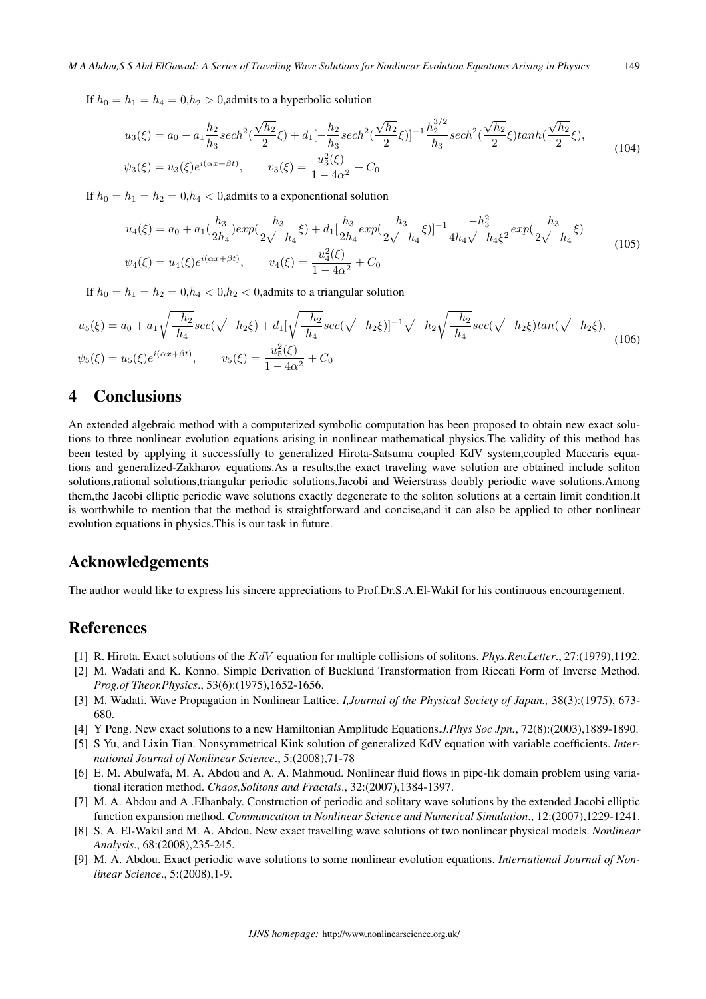If  $h_0 = h_1 = h_4 = 0, h_2 > 0$ , admits to a hyperbolic solution

$$
u_3(\xi) = a_0 - a_1 \frac{h_2}{h_3} sech^2(\frac{\sqrt{h_2}}{2}\xi) + d_1[-\frac{h_2}{h_3} sech^2(\frac{\sqrt{h_2}}{2}\xi)]^{-1} \frac{h_2^{3/2}}{h_3} sech^2(\frac{\sqrt{h_2}}{2}\xi) tanh(\frac{\sqrt{h_2}}{2}\xi),
$$
  

$$
\psi_3(\xi) = u_3(\xi)e^{i(\alpha x + \beta t)}, \qquad v_3(\xi) = \frac{u_3^2(\xi)}{1 - 4\alpha^2} + C_0
$$
 (104)

If  $h_0 = h_1 = h_2 = 0, h_4 < 0$ , admits to a exponentional solution

$$
u_4(\xi) = a_0 + a_1(\frac{h_3}{2h_4})exp(\frac{h_3}{2\sqrt{-h_4}}\xi) + d_1[\frac{h_3}{2h_4}exp(\frac{h_3}{2\sqrt{-h_4}}\xi)]^{-1}\frac{-h_3^2}{4h_4\sqrt{-h_4}\xi^2}exp(\frac{h_3}{2\sqrt{-h_4}}\xi)
$$
  

$$
\psi_4(\xi) = u_4(\xi)e^{i(\alpha x + \beta t)}, \qquad v_4(\xi) = \frac{u_4^2(\xi)}{1 - 4\alpha^2} + C_0
$$
 (105)

If  $h_0 = h_1 = h_2 = 0, h_4 < 0, h_2 < 0$ , admits to a triangular solution

$$
u_5(\xi) = a_0 + a_1 \sqrt{\frac{-h_2}{h_4}} sec(\sqrt{-h_2} \xi) + d_1 [\sqrt{\frac{-h_2}{h_4}} sec(\sqrt{-h_2} \xi)]^{-1} \sqrt{-h_2} \sqrt{\frac{-h_2}{h_4}} sec(\sqrt{-h_2} \xi) tan(\sqrt{-h_2} \xi),
$$
  
\n
$$
\psi_5(\xi) = u_5(\xi) e^{i(\alpha x + \beta t)}, \qquad v_5(\xi) = \frac{u_5^2(\xi)}{1 - 4\alpha^2} + C_0
$$
\n(106)

### 4 Conclusions

An extended algebraic method with a computerized symbolic computation has been proposed to obtain new exact solutions to three nonlinear evolution equations arising in nonlinear mathematical physics.The validity of this method has been tested by applying it successfully to generalized Hirota-Satsuma coupled KdV system,coupled Maccaris equations and generalized-Zakharov equations.As a results,the exact traveling wave solution are obtained include soliton solutions,rational solutions,triangular periodic solutions,Jacobi and Weierstrass doubly periodic wave solutions.Among them,the Jacobi elliptic periodic wave solutions exactly degenerate to the soliton solutions at a certain limit condition.It is worthwhile to mention that the method is straightforward and concise,and it can also be applied to other nonlinear evolution equations in physics.This is our task in future.

#### Acknowledgements

The author would like to express his sincere appreciations to Prof.Dr.S.A.El-Wakil for his continuous encouragement.

## References

- [1] R. Hirota. Exact solutions of the  $KdV$  equation for multiple collisions of solitons. *Phys.Rev.Letter.*, 27:(1979),1192.
- [2] M. Wadati and K. Konno. Simple Derivation of Bucklund Transformation from Riccati Form of Inverse Method. *Prog.of Theor.Physics*., 53(6):(1975),1652-1656.
- [3] M. Wadati. Wave Propagation in Nonlinear Lattice. *I,Journal of the Physical Society of Japan.,* 38(3):(1975), 673- 680.
- [4] Y Peng. New exact solutions to a new Hamiltonian Amplitude Equations.*J.Phys Soc Jpn.*, 72(8):(2003),1889-1890.
- [5] S Yu, and Lixin Tian. Nonsymmetrical Kink solution of generalized KdV equation with variable coefficients. *International Journal of Nonlinear Science*., 5:(2008),71-78
- [6] E. M. Abulwafa, M. A. Abdou and A. A. Mahmoud. Nonlinear fluid flows in pipe-lik domain problem using variational iteration method. *Chaos,Solitons and Fractals*., 32:(2007),1384-1397.
- [7] M. A. Abdou and A .Elhanbaly. Construction of periodic and solitary wave solutions by the extended Jacobi elliptic function expansion method. *Communcation in Nonlinear Science and Numerical Simulation*., 12:(2007),1229-1241.
- [8] S. A. El-Wakil and M. A. Abdou. New exact travelling wave solutions of two nonlinear physical models. *Nonlinear Analysis*., 68:(2008),235-245.
- [9] M. A. Abdou. Exact periodic wave solutions to some nonlinear evolution equations. *International Journal of Nonlinear Science*., 5:(2008),1-9.